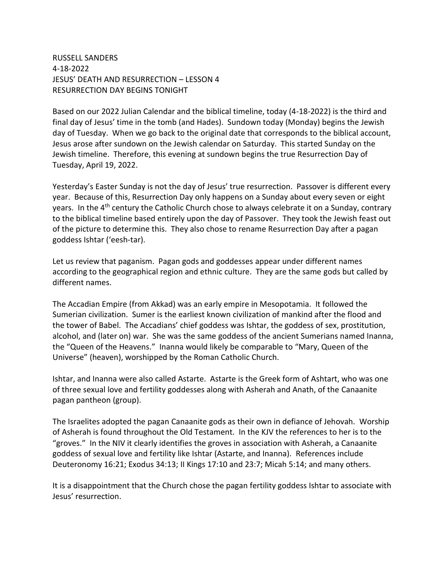RUSSELL SANDERS 4-18-2022 JESUS' DEATH AND RESURRECTION – LESSON 4 RESURRECTION DAY BEGINS TONIGHT

Based on our 2022 Julian Calendar and the biblical timeline, today (4-18-2022) is the third and final day of Jesus' time in the tomb (and Hades). Sundown today (Monday) begins the Jewish day of Tuesday. When we go back to the original date that corresponds to the biblical account, Jesus arose after sundown on the Jewish calendar on Saturday. This started Sunday on the Jewish timeline. Therefore, this evening at sundown begins the true Resurrection Day of Tuesday, April 19, 2022.

Yesterday's Easter Sunday is not the day of Jesus' true resurrection. Passover is different every year. Because of this, Resurrection Day only happens on a Sunday about every seven or eight years. In the 4<sup>th</sup> century the Catholic Church chose to always celebrate it on a Sunday, contrary to the biblical timeline based entirely upon the day of Passover. They took the Jewish feast out of the picture to determine this. They also chose to rename Resurrection Day after a pagan goddess Ishtar ('eesh-tar).

Let us review that paganism. Pagan gods and goddesses appear under different names according to the geographical region and ethnic culture. They are the same gods but called by different names.

The Accadian Empire (from Akkad) was an early empire in Mesopotamia. It followed the Sumerian civilization. Sumer is the earliest known civilization of mankind after the flood and the tower of Babel. The Accadians' chief goddess was Ishtar, the goddess of sex, prostitution, alcohol, and (later on) war. She was the same goddess of the ancient Sumerians named Inanna, the "Queen of the Heavens." Inanna would likely be comparable to "Mary, Queen of the Universe" (heaven), worshipped by the Roman Catholic Church.

Ishtar, and Inanna were also called Astarte. Astarte is the Greek form of Ashtart, who was one of three sexual love and fertility goddesses along with Asherah and Anath, of the Canaanite pagan pantheon (group).

The Israelites adopted the pagan Canaanite gods as their own in defiance of Jehovah. Worship of Asherah is found throughout the Old Testament. In the KJV the references to her is to the "groves." In the NIV it clearly identifies the groves in association with Asherah, a Canaanite goddess of sexual love and fertility like Ishtar (Astarte, and Inanna). References include Deuteronomy 16:21; Exodus 34:13; II Kings 17:10 and 23:7; Micah 5:14; and many others.

It is a disappointment that the Church chose the pagan fertility goddess Ishtar to associate with Jesus' resurrection.